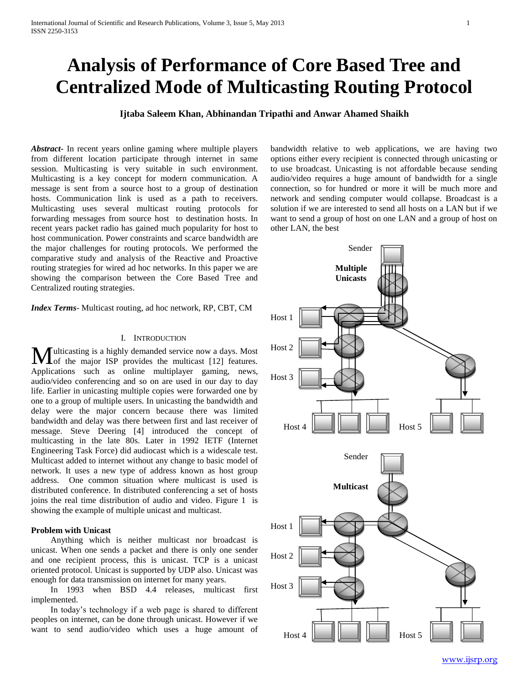# **Analysis of Performance of Core Based Tree and Centralized Mode of Multicasting Routing Protocol**

**Ijtaba Saleem Khan, Abhinandan Tripathi and Anwar Ahamed Shaikh**

*Abstract***-** In recent years online gaming where multiple players from different location participate through internet in same session. Multicasting is very suitable in such environment. Multicasting is a key concept for modern communication. A message is sent from a source host to a group of destination hosts. Communication link is used as a path to receivers. Multicasting uses several multicast routing protocols for forwarding messages from source host to destination hosts. In recent years packet radio has gained much popularity for host to host communication. Power constraints and scarce bandwidth are the major challenges for routing protocols. We performed the comparative study and analysis of the Reactive and Proactive routing strategies for wired ad hoc networks. In this paper we are showing the comparison between the Core Based Tree and Centralized routing strategies.

*Index Terms*- Multicast routing, ad hoc network, RP, CBT, CM

## I. INTRODUCTION

ulticasting is a highly demanded service now a days. Most of the major ISP provides the multicast [12] features. **M**ulticasting is a highly demanded service now a days. Most of the major ISP provides the multicast [12] features.<br>Applications such as online multiplayer gaming, news, audio/video conferencing and so on are used in our day to day life. Earlier in unicasting multiple copies were forwarded one by one to a group of multiple users. In unicasting the bandwidth and delay were the major concern because there was limited bandwidth and delay was there between first and last receiver of message. Steve Deering [4] introduced the concept of multicasting in the late 80s. Later in 1992 IETF (Internet Engineering Task Force) did audiocast which is a widescale test. Multicast added to internet without any change to basic model of network. It uses a new type of address known as host group address. One common situation where multicast is used is distributed conference. In distributed conferencing a set of hosts joins the real time distribution of audio and video. Figure 1 is showing the example of multiple unicast and multicast.

## **Problem with Unicast**

 Anything which is neither multicast nor broadcast is unicast. When one sends a packet and there is only one sender and one recipient process, this is unicast. TCP is a unicast oriented protocol. Unicast is supported by UDP also. Unicast was enough for data transmission on internet for many years.

 In 1993 when BSD 4.4 releases, multicast first implemented.

 In today's technology if a web page is shared to different peoples on internet, can be done through unicast. However if we want to send audio/video which uses a huge amount of bandwidth relative to web applications, we are having two options either every recipient is connected through unicasting or to use broadcast. Unicasting is not affordable because sending audio/video requires a huge amount of bandwidth for a single connection, so for hundred or more it will be much more and network and sending computer would collapse. Broadcast is a solution if we are interested to send all hosts on a LAN but if we want to send a group of host on one LAN and a group of host on other LAN, the best

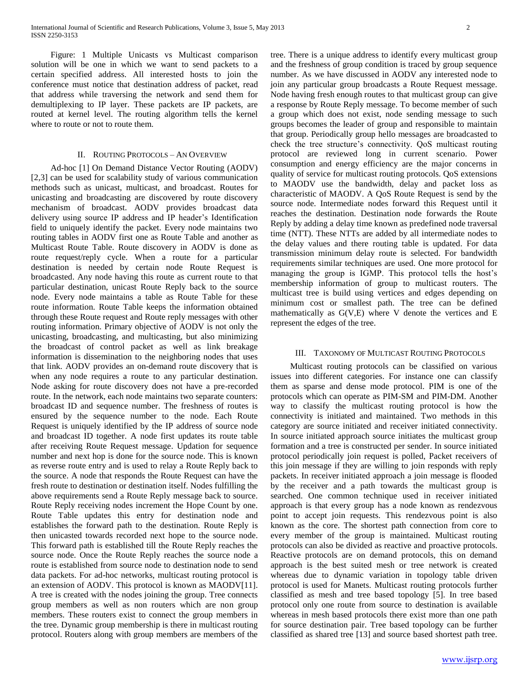Figure: 1 Multiple Unicasts vs Multicast comparison solution will be one in which we want to send packets to a certain specified address. All interested hosts to join the conference must notice that destination address of packet, read that address while traversing the network and send them for demultiplexing to IP layer. These packets are IP packets, are routed at kernel level. The routing algorithm tells the kernel where to route or not to route them.

#### II. ROUTING PROTOCOLS – AN OVERVIEW

 Ad-hoc [1] On Demand Distance Vector Routing (AODV) [2,3] can be used for scalability study of various communication methods such as unicast, multicast, and broadcast. Routes for unicasting and broadcasting are discovered by route discovery mechanism of broadcast. AODV provides broadcast data delivery using source IP address and IP header's Identification field to uniquely identify the packet. Every node maintains two routing tables in AODV first one as Route Table and another as Multicast Route Table. Route discovery in AODV is done as route request/reply cycle. When a route for a particular destination is needed by certain node Route Request is broadcasted. Any node having this route as current route to that particular destination, unicast Route Reply back to the source node. Every node maintains a table as Route Table for these route information. Route Table keeps the information obtained through these Route request and Route reply messages with other routing information. Primary objective of AODV is not only the unicasting, broadcasting, and multicasting, but also minimizing the broadcast of control packet as well as link breakage information is dissemination to the neighboring nodes that uses that link. AODV provides an on-demand route discovery that is when any node requires a route to any particular destination. Node asking for route discovery does not have a pre-recorded route. In the network, each node maintains two separate counters: broadcast ID and sequence number. The freshness of routes is ensured by the sequence number to the node. Each Route Request is uniquely identified by the IP address of source node and broadcast ID together. A node first updates its route table after receiving Route Request message. Updation for sequence number and next hop is done for the source node. This is known as reverse route entry and is used to relay a Route Reply back to the source. A node that responds the Route Request can have the fresh route to destination or destination itself. Nodes fulfilling the above requirements send a Route Reply message back to source. Route Reply receiving nodes increment the Hope Count by one. Route Table updates this entry for destination node and establishes the forward path to the destination. Route Reply is then unicasted towards recorded next hope to the source node. This forward path is established till the Route Reply reaches the source node. Once the Route Reply reaches the source node a route is established from source node to destination node to send data packets. For ad-hoc networks, multicast routing protocol is an extension of AODV. This protocol is known as MAODV[11]. A tree is created with the nodes joining the group. Tree connects group members as well as non routers which are non group members. These routers exist to connect the group members in the tree. Dynamic group membership is there in multicast routing protocol. Routers along with group members are members of the

tree. There is a unique address to identify every multicast group and the freshness of group condition is traced by group sequence number. As we have discussed in AODV any interested node to join any particular group broadcasts a Route Request message. Node having fresh enough routes to that multicast group can give a response by Route Reply message. To become member of such a group which does not exist, node sending message to such groups becomes the leader of group and responsible to maintain that group. Periodically group hello messages are broadcasted to check the tree structure's connectivity. QoS multicast routing protocol are reviewed long in current scenario. Power consumption and energy efficiency are the major concerns in quality of service for multicast routing protocols. QoS extensions to MAODV use the bandwidth, delay and packet loss as characteristic of MAODV. A QoS Route Request is send by the source node. Intermediate nodes forward this Request until it reaches the destination. Destination node forwards the Route Reply by adding a delay time known as predefined node traversal time (NTT). These NTTs are added by all intermediate nodes to the delay values and there routing table is updated. For data transmission minimum delay route is selected. For bandwidth requirements similar techniques are used. One more protocol for managing the group is IGMP. This protocol tells the host's membership information of group to multicast routers. The multicast tree is build using vertices and edges depending on minimum cost or smallest path. The tree can be defined mathematically as G(V,E) where V denote the vertices and E represent the edges of the tree.

#### III. TAXONOMY OF MULTICAST ROUTING PROTOCOLS

 Multicast routing protocols can be classified on various issues into different categories. For instance one can classify them as sparse and dense mode protocol. PIM is one of the protocols which can operate as PIM-SM and PIM-DM. Another way to classify the multicast routing protocol is how the connectivity is initiated and maintained. Two methods in this category are source initiated and receiver initiated connectivity. In source initiated approach source initiates the multicast group formation and a tree is constructed per sender. In source initiated protocol periodically join request is polled, Packet receivers of this join message if they are willing to join responds with reply packets. In receiver initiated approach a join message is flooded by the receiver and a path towards the multicast group is searched. One common technique used in receiver initiated approach is that every group has a node known as rendezvous point to accept join requests. This rendezvous point is also known as the core. The shortest path connection from core to every member of the group is maintained. Multicast routing protocols can also be divided as reactive and proactive protocols. Reactive protocols are on demand protocols, this on demand approach is the best suited mesh or tree network is created whereas due to dynamic variation in topology table driven protocol is used for Manets. Multicast routing protocols further classified as mesh and tree based topology [5]. In tree based protocol only one route from source to destination is available whereas in mesh based protocols there exist more than one path for source destination pair. Tree based topology can be further classified as shared tree [13] and source based shortest path tree.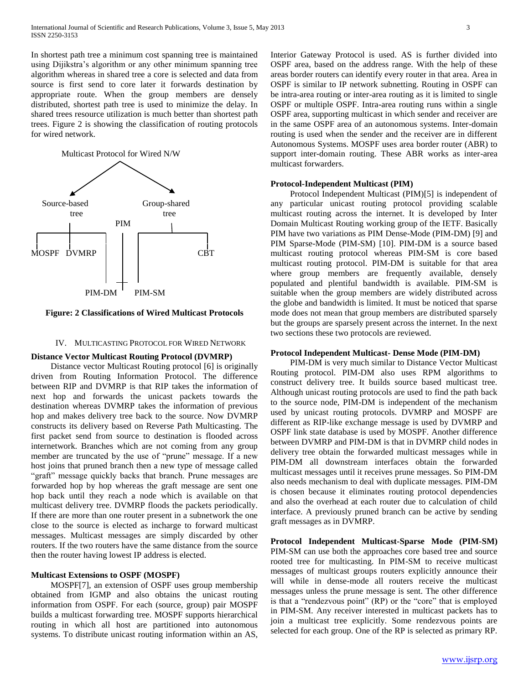In shortest path tree a minimum cost spanning tree is maintained using Dijikstra's algorithm or any other minimum spanning tree algorithm whereas in shared tree a core is selected and data from source is first send to core later it forwards destination by appropriate route. When the group members are densely distributed, shortest path tree is used to minimize the delay. In shared trees resource utilization is much better than shortest path trees. Figure 2 is showing the classification of routing protocols for wired network.



#### **Figure: 2 Classifications of Wired Multicast Protocols**

## IV. MULTICASTING PROTOCOL FOR WIRED NETWORK

#### **Distance Vector Multicast Routing Protocol (DVMRP)**

 Distance vector Multicast Routing protocol [6] is originally driven from Routing Information Protocol. The difference between RIP and DVMRP is that RIP takes the information of next hop and forwards the unicast packets towards the destination whereas DVMRP takes the information of previous hop and makes delivery tree back to the source. Now DVMRP constructs its delivery based on Reverse Path Multicasting. The first packet send from source to destination is flooded across internetwork. Branches which are not coming from any group member are truncated by the use of "prune" message. If a new host joins that pruned branch then a new type of message called "graft" message quickly backs that branch. Prune messages are forwarded hop by hop whereas the graft message are sent one hop back until they reach a node which is available on that multicast delivery tree. DVMRP floods the packets periodically. If there are more than one router present in a subnetwork the one close to the source is elected as incharge to forward multicast messages. Multicast messages are simply discarded by other routers. If the two routers have the same distance from the source then the router having lowest IP address is elected.

## **Multicast Extensions to OSPF (MOSPF)**

 MOSPF[7], an extension of OSPF uses group membership obtained from IGMP and also obtains the unicast routing information from OSPF. For each (source, group) pair MOSPF builds a multicast forwarding tree. MOSPF supports hierarchical routing in which all host are partitioned into autonomous systems. To distribute unicast routing information within an AS,

Interior Gateway Protocol is used. AS is further divided into OSPF area, based on the address range. With the help of these areas border routers can identify every router in that area. Area in OSPF is similar to IP network subnetting. Routing in OSPF can be intra-area routing or inter-area routing as it is limited to single OSPF or multiple OSPF. Intra-area routing runs within a single OSPF area, supporting multicast in which sender and receiver are in the same OSPF area of an autonomous systems. Inter-domain routing is used when the sender and the receiver are in different Autonomous Systems. MOSPF uses area border router (ABR) to support inter-domain routing. These ABR works as inter-area multicast forwarders.

#### **Protocol-Independent Multicast (PIM)**

 Protocol Independent Multicast (PIM)[5] is independent of any particular unicast routing protocol providing scalable multicast routing across the internet. It is developed by Inter Domain Multicast Routing working group of the IETF. Basically PIM have two variations as PIM Dense-Mode (PIM-DM) [9] and PIM Sparse-Mode (PIM-SM) [10]. PIM-DM is a source based multicast routing protocol whereas PIM-SM is core based multicast routing protocol. PIM-DM is suitable for that area where group members are frequently available, densely populated and plentiful bandwidth is available. PIM-SM is suitable when the group members are widely distributed across the globe and bandwidth is limited. It must be noticed that sparse mode does not mean that group members are distributed sparsely but the groups are sparsely present across the internet. In the next two sections these two protocols are reviewed.

### **Protocol Independent Multicast- Dense Mode (PIM-DM)**

 PIM-DM is very much similar to Distance Vector Multicast Routing protocol. PIM-DM also uses RPM algorithms to construct delivery tree. It builds source based multicast tree. Although unicast routing protocols are used to find the path back to the source node, PIM-DM is independent of the mechanism used by unicast routing protocols. DVMRP and MOSPF are different as RIP-like exchange message is used by DVMRP and OSPF link state database is used by MOSPF. Another difference between DVMRP and PIM-DM is that in DVMRP child nodes in delivery tree obtain the forwarded multicast messages while in PIM-DM all downstream interfaces obtain the forwarded multicast messages until it receives prune messages. So PIM-DM also needs mechanism to deal with duplicate messages. PIM-DM is chosen because it eliminates routing protocol dependencies and also the overhead at each router due to calculation of child interface. A previously pruned branch can be active by sending graft messages as in DVMRP.

**Protocol Independent Multicast-Sparse Mode (PIM-SM)** PIM-SM can use both the approaches core based tree and source rooted tree for multicasting. In PIM-SM to receive multicast messages of multicast groups routers explicitly announce their will while in dense-mode all routers receive the multicast messages unless the prune message is sent. The other difference is that a "rendezvous point" (RP) or the "core" that is employed in PIM-SM. Any receiver interested in multicast packets has to join a multicast tree explicitly. Some rendezvous points are selected for each group. One of the RP is selected as primary RP.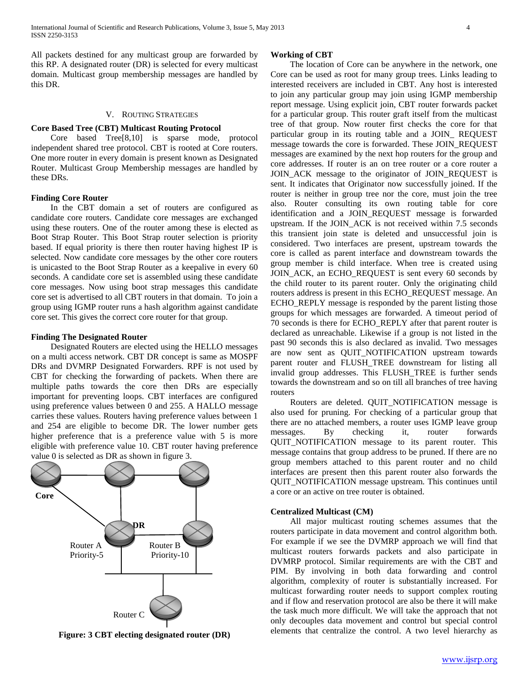All packets destined for any multicast group are forwarded by this RP. A designated router (DR) is selected for every multicast domain. Multicast group membership messages are handled by this DR.

#### V. ROUTING STRATEGIES

#### **Core Based Tree (CBT) Multicast Routing Protocol**

 Core based Tree[8,10] is sparse mode, protocol independent shared tree protocol. CBT is rooted at Core routers. One more router in every domain is present known as Designated Router. Multicast Group Membership messages are handled by these DRs.

#### **Finding Core Router**

 In the CBT domain a set of routers are configured as candidate core routers. Candidate core messages are exchanged using these routers. One of the router among these is elected as Boot Strap Router. This Boot Strap router selection is priority based. If equal priority is there then router having highest IP is selected. Now candidate core messages by the other core routers is unicasted to the Boot Strap Router as a keepalive in every 60 seconds. A candidate core set is assembled using these candidate core messages. Now using boot strap messages this candidate core set is advertised to all CBT routers in that domain. To join a group using IGMP router runs a hash algorithm against candidate core set. This gives the correct core router for that group.

#### **Finding The Designated Router**

 Designated Routers are elected using the HELLO messages on a multi access network. CBT DR concept is same as MOSPF DRs and DVMRP Designated Forwarders. RPF is not used by CBT for checking the forwarding of packets. When there are multiple paths towards the core then DRs are especially important for preventing loops. CBT interfaces are configured using preference values between 0 and 255. A HALLO message carries these values. Routers having preference values between 1 and 254 are eligible to become DR. The lower number gets higher preference that is a preference value with 5 is more eligible with preference value 10. CBT router having preference value 0 is selected as DR as shown in figure 3.



**Figure: 3 CBT electing designated router (DR)**

#### **Working of CBT**

 The location of Core can be anywhere in the network, one Core can be used as root for many group trees. Links leading to interested receivers are included in CBT. Any host is interested to join any particular group may join using IGMP membership report message. Using explicit join, CBT router forwards packet for a particular group. This router graft itself from the multicast tree of that group. Now router first checks the core for that particular group in its routing table and a JOIN\_ REQUEST message towards the core is forwarded. These JOIN\_REQUEST messages are examined by the next hop routers for the group and core addresses. If router is an on tree router or a core router a JOIN\_ACK message to the originator of JOIN\_REQUEST is sent. It indicates that Originator now successfully joined. If the router is neither in group tree nor the core, must join the tree also. Router consulting its own routing table for core identification and a JOIN\_REQUEST message is forwarded upstream. If the JOIN\_ACK is not received within 7.5 seconds this transient join state is deleted and unsuccessful join is considered. Two interfaces are present, upstream towards the core is called as parent interface and downstream towards the group member is child interface. When tree is created using JOIN\_ACK, an ECHO\_REQUEST is sent every 60 seconds by the child router to its parent router. Only the originating child routers address is present in this ECHO\_REQUEST message. An ECHO\_REPLY message is responded by the parent listing those groups for which messages are forwarded. A timeout period of 70 seconds is there for ECHO\_REPLY after that parent router is declared as unreachable. Likewise if a group is not listed in the past 90 seconds this is also declared as invalid. Two messages are now sent as QUIT\_NOTIFICATION upstream towards parent router and FLUSH\_TREE downstream for listing all invalid group addresses. This FLUSH\_TREE is further sends towards the downstream and so on till all branches of tree having routers

 Routers are deleted. QUIT\_NOTIFICATION message is also used for pruning. For checking of a particular group that there are no attached members, a router uses IGMP leave group messages. By checking it, router forwards QUIT\_NOTIFICATION message to its parent router. This message contains that group address to be pruned. If there are no group members attached to this parent router and no child interfaces are present then this parent router also forwards the QUIT\_NOTIFICATION message upstream. This continues until a core or an active on tree router is obtained.

#### **Centralized Multicast (CM)**

 All major multicast routing schemes assumes that the routers participate in data movement and control algorithm both. For example if we see the DVMRP approach we will find that multicast routers forwards packets and also participate in DVMRP protocol. Similar requirements are with the CBT and PIM. By involving in both data forwarding and control algorithm, complexity of router is substantially increased. For multicast forwarding router needs to support complex routing and if flow and reservation protocol are also be there it will make the task much more difficult. We will take the approach that not only decouples data movement and control but special control elements that centralize the control. A two level hierarchy as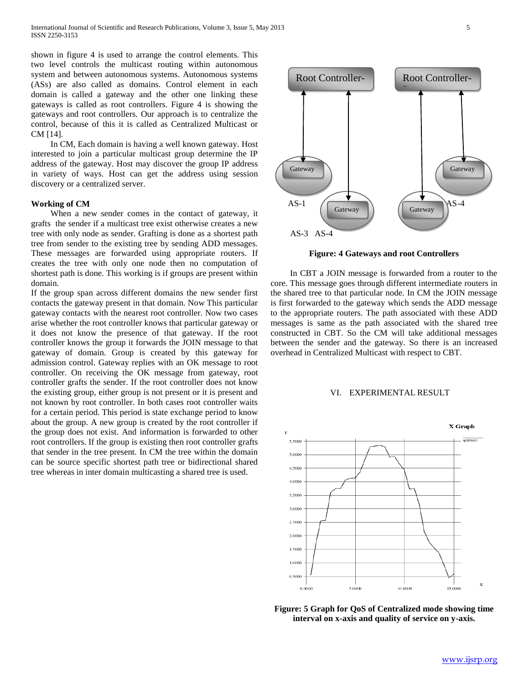shown in figure 4 is used to arrange the control elements. This two level controls the multicast routing within autonomous system and between autonomous systems. Autonomous systems (ASs) are also called as domains. Control element in each domain is called a gateway and the other one linking these gateways is called as root controllers. Figure 4 is showing the gateways and root controllers. Our approach is to centralize the control, because of this it is called as Centralized Multicast or CM [14].

 In CM, Each domain is having a well known gateway. Host interested to join a particular multicast group determine the IP address of the gateway. Host may discover the group IP address in variety of ways. Host can get the address using session discovery or a centralized server.

#### **Working of CM**

 When a new sender comes in the contact of gateway, it grafts the sender if a multicast tree exist otherwise creates a new tree with only node as sender. Grafting is done as a shortest path tree from sender to the existing tree by sending ADD messages. These messages are forwarded using appropriate routers. If creates the tree with only one node then no computation of shortest path is done. This working is if groups are present within domain.

If the group span across different domains the new sender first contacts the gateway present in that domain. Now This particular gateway contacts with the nearest root controller. Now two cases arise whether the root controller knows that particular gateway or it does not know the presence of that gateway. If the root controller knows the group it forwards the JOIN message to that gateway of domain. Group is created by this gateway for admission control. Gateway replies with an OK message to root controller. On receiving the OK message from gateway, root controller grafts the sender. If the root controller does not know the existing group, either group is not present or it is present and not known by root controller. In both cases root controller waits for a certain period. This period is state exchange period to know about the group. A new group is created by the root controller if the group does not exist. And information is forwarded to other root controllers. If the group is existing then root controller grafts that sender in the tree present. In CM the tree within the domain can be source specific shortest path tree or bidirectional shared tree whereas in inter domain multicasting a shared tree is used.



**Figure: 4 Gateways and root Controllers**

 In CBT a JOIN message is forwarded from a router to the core. This message goes through different intermediate routers in the shared tree to that particular node. In CM the JOIN message is first forwarded to the gateway which sends the ADD message to the appropriate routers. The path associated with these ADD messages is same as the path associated with the shared tree constructed in CBT. So the CM will take additional messages between the sender and the gateway. So there is an increased overhead in Centralized Multicast with respect to CBT.

#### VI. EXPERIMENTAL RESULT



**Figure: 5 Graph for QoS of Centralized mode showing time interval on x-axis and quality of service on y-axis.**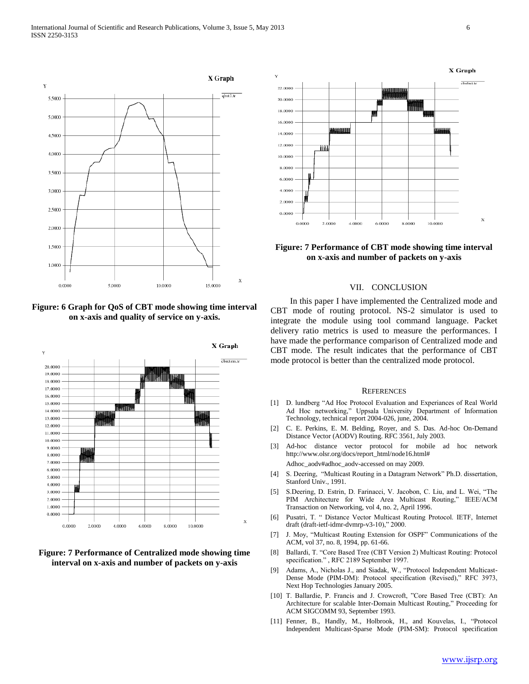

**Figure: 6 Graph for QoS of CBT mode showing time interval on x-axis and quality of service on y-axis.**



**Figure: 7 Performance of Centralized mode showing time interval on x-axis and number of packets on y-axis**



## **Figure: 7 Performance of CBT mode showing time interval on x-axis and number of packets on y-axis**

#### VII. CONCLUSION

 In this paper I have implemented the Centralized mode and CBT mode of routing protocol. NS-2 simulator is used to integrate the module using tool command language. Packet delivery ratio metrics is used to measure the performances. I have made the performance comparison of Centralized mode and CBT mode. The result indicates that the performance of CBT mode protocol is better than the centralized mode protocol.

#### **REFERENCES**

- [1] D. lundberg "Ad Hoc Protocol Evaluation and Experiances of Real World Ad Hoc networking," Uppsala University Department of Information Technology, technical report 2004-026, june, 2004.
- [2] C. E. Perkins, E. M. Belding, Royer, and S. Das. Ad-hoc On-Demand Distance Vector (AODV) Routing. RFC 3561, July 2003.
- [3] Ad-hoc distance vector protocol for mobile ad hoc network http://www.olsr.org/docs/report\_html/node16.html#

Adhoc\_aodv#adhoc\_aodv-accessed on may 2009.

- [4] S. Deering, "Multicast Routing in a Datagram Network" Ph.D. dissertation, Stanford Univ., 1991.
- [5] S.Deering, D. Estrin, D. Farinacci, V. Jacobon, C. Liu, and L. Wei, "The PIM Architecture for Wide Area Multicast Routing," IEEE/ACM Transaction on Networking, vol 4, no. 2, April 1996.
- [6] Pusatri, T. " Distance Vector Multicast Routing Protocol. IETF, Internet draft (draft-ietf-idmr-dvmrp-v3-10)," 2000.
- [7] J. Moy, "Multicast Routing Extension for OSPF" Communications of the ACM, vol 37, no. 8, 1994, pp. 61-66.
- [8] Ballardi, T. "Core Based Tree (CBT Version 2) Multicast Routing: Protocol specification." , RFC 2189 September 1997.
- [9] Adams, A., Nicholas J., and Siadak, W., "Protocol Independent Multicast-Dense Mode (PIM-DM): Protocol specification (Revised)," RFC 3973, Next Hop Technologies January 2005.
- [10] T. Ballardie, P. Francis and J. Crowcroft, "Core Based Tree (CBT): An Architecture for scalable Inter-Domain Multicast Routing," Proceeding for ACM SIGCOMM 93, September 1993.
- [11] Fenner, B., Handly, M., Holbrook, H., and Kouvelas, I., "Protocol Independent Multicast-Sparse Mode (PIM-SM): Protocol specification